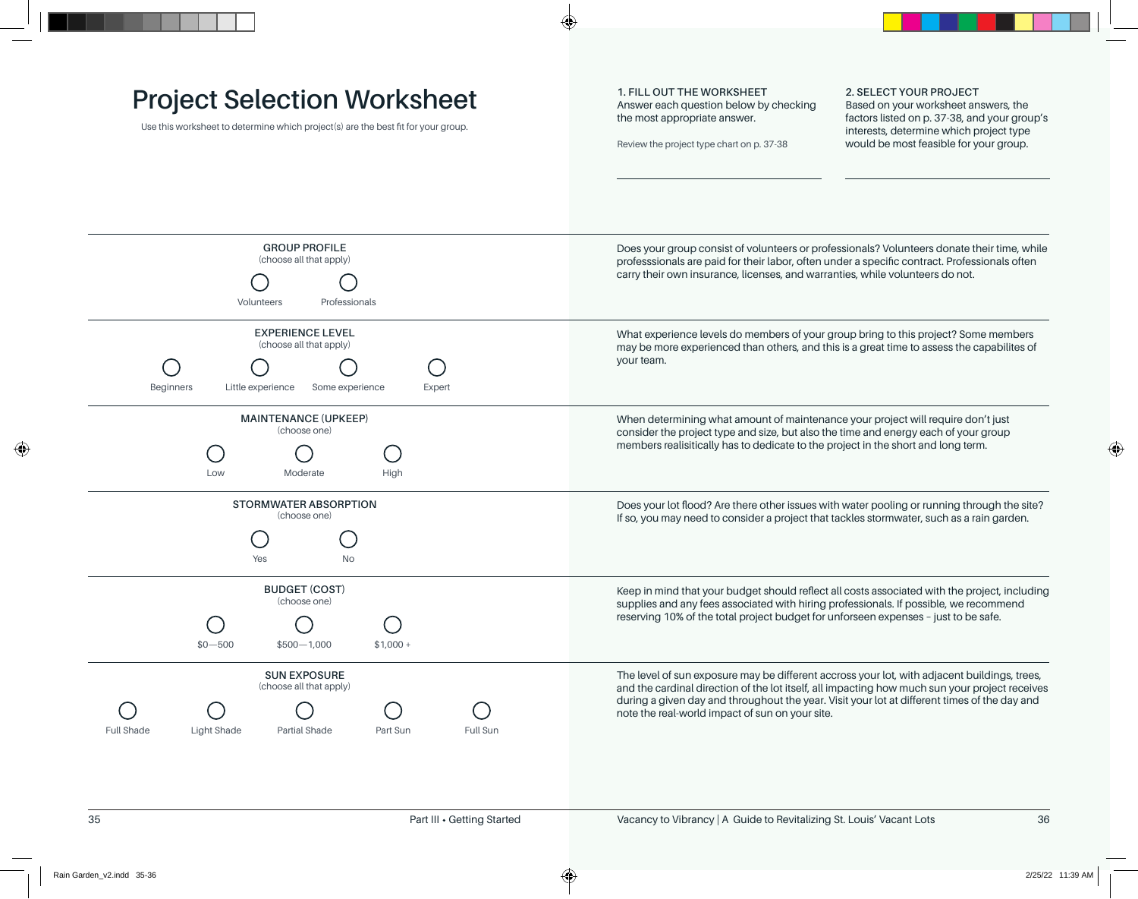## **Project Selection Worksheet**

Use this worksheet to determine which project(s) are the best fit for your group.

**1. FILL OUT THE WORKSHEET** Answer each question below by checking the most appropriate answer.

Review the project type chart on p. 37-38

**2. SELECT YOUR PROJECT** Based on your worksheet answers, the factors listed on p. 37-38, and your group's interests, determine which project type would be most feasible for your group.